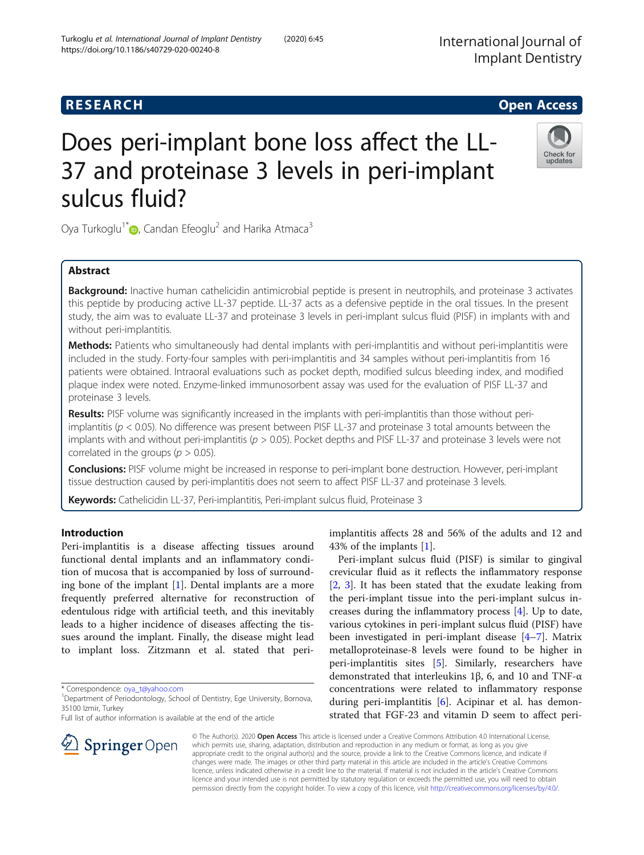# **RESEARCH CHE Open Access**

# Does peri-implant bone loss affect the LL-37 and proteinase 3 levels in peri-implant sulcus fluid?

Oya Turkoglu<sup>1[\\*](http://orcid.org/0000-0002-3284-0130)</sup>  $\bullet$ , Candan Efeoglu<sup>2</sup> and Harika Atmaca<sup>3</sup>

# Abstract

Background: Inactive human cathelicidin antimicrobial peptide is present in neutrophils, and proteinase 3 activates this peptide by producing active LL-37 peptide. LL-37 acts as a defensive peptide in the oral tissues. In the present study, the aim was to evaluate LL-37 and proteinase 3 levels in peri-implant sulcus fluid (PISF) in implants with and without peri-implantitis.

Methods: Patients who simultaneously had dental implants with peri-implantitis and without peri-implantitis were included in the study. Forty-four samples with peri-implantitis and 34 samples without peri-implantitis from 16 patients were obtained. Intraoral evaluations such as pocket depth, modified sulcus bleeding index, and modified plaque index were noted. Enzyme-linked immunosorbent assay was used for the evaluation of PISF LL-37 and proteinase 3 levels.

Results: PISF volume was significantly increased in the implants with peri-implantitis than those without periimplantitis ( $p < 0.05$ ). No difference was present between PISF LL-37 and proteinase 3 total amounts between the implants with and without peri-implantitis ( $p > 0.05$ ). Pocket depths and PISF LL-37 and proteinase 3 levels were not correlated in the groups ( $p > 0.05$ ).

Conclusions: PISF volume might be increased in response to peri-implant bone destruction. However, peri-implant tissue destruction caused by peri-implantitis does not seem to affect PISF LL-37 and proteinase 3 levels.

Keywords: Cathelicidin LL-37, Peri-implantitis, Peri-implant sulcus fluid, Proteinase 3

# Introduction

Peri-implantitis is a disease affecting tissues around functional dental implants and an inflammatory condition of mucosa that is accompanied by loss of surrounding bone of the implant [\[1](#page-4-0)]. Dental implants are a more frequently preferred alternative for reconstruction of edentulous ridge with artificial teeth, and this inevitably leads to a higher incidence of diseases affecting the tissues around the implant. Finally, the disease might lead to implant loss. Zitzmann et al. stated that peri-

\* Correspondence: [oya\\_t@yahoo.com](mailto:oya_t@yahoo.com) <sup>1</sup>

SpringerOpen

Full list of author information is available at the end of the article

implantitis affects 28 and 56% of the adults and 12 and 43% of the implants [\[1](#page-4-0)].

Peri-implant sulcus fluid (PISF) is similar to gingival crevicular fluid as it reflects the inflammatory response [[2,](#page-4-0) [3\]](#page-4-0). It has been stated that the exudate leaking from the peri-implant tissue into the peri-implant sulcus increases during the inflammatory process [\[4](#page-4-0)]. Up to date, various cytokines in peri-implant sulcus fluid (PISF) have been investigated in peri-implant disease [\[4](#page-4-0)–[7](#page-4-0)]. Matrix metalloproteinase-8 levels were found to be higher in peri-implantitis sites [\[5](#page-4-0)]. Similarly, researchers have demonstrated that interleukins 1β, 6, and 10 and TNF-α concentrations were related to inflammatory response during peri-implantitis [\[6](#page-4-0)]. Acipinar et al. has demonstrated that FGF-23 and vitamin D seem to affect peri-

© The Author(s). 2020 Open Access This article is licensed under a Creative Commons Attribution 4.0 International License, which permits use, sharing, adaptation, distribution and reproduction in any medium or format, as long as you give appropriate credit to the original author(s) and the source, provide a link to the Creative Commons licence, and indicate if changes were made. The images or other third party material in this article are included in the article's Creative Commons licence, unless indicated otherwise in a credit line to the material. If material is not included in the article's Creative Commons licence and your intended use is not permitted by statutory regulation or exceeds the permitted use, you will need to obtain permission directly from the copyright holder. To view a copy of this licence, visit <http://creativecommons.org/licenses/by/4.0/>.





<sup>&</sup>lt;sup>1</sup> Department of Periodontology, School of Dentistry, Ege University, Bornova, 35100 Izmir, Turkey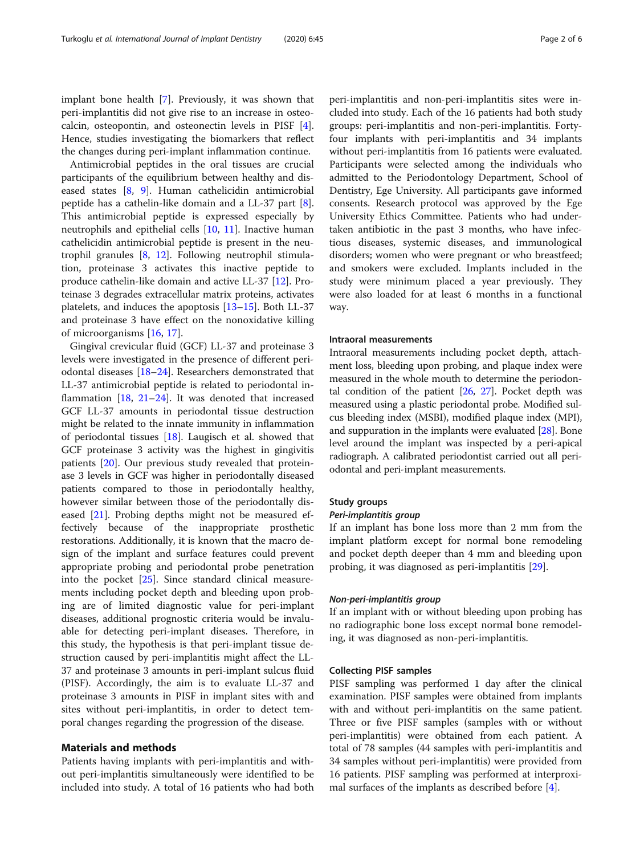implant bone health [\[7](#page-4-0)]. Previously, it was shown that peri-implantitis did not give rise to an increase in osteocalcin, osteopontin, and osteonectin levels in PISF [\[4](#page-4-0)]. Hence, studies investigating the biomarkers that reflect the changes during peri-implant inflammation continue.

Antimicrobial peptides in the oral tissues are crucial participants of the equilibrium between healthy and diseased states [[8,](#page-4-0) [9](#page-5-0)]. Human cathelicidin antimicrobial peptide has a cathelin-like domain and a LL-37 part [\[8](#page-4-0)]. This antimicrobial peptide is expressed especially by neutrophils and epithelial cells [\[10](#page-5-0), [11\]](#page-5-0). Inactive human cathelicidin antimicrobial peptide is present in the neutrophil granules [[8,](#page-4-0) [12\]](#page-5-0). Following neutrophil stimulation, proteinase 3 activates this inactive peptide to produce cathelin-like domain and active LL-37 [[12](#page-5-0)]. Proteinase 3 degrades extracellular matrix proteins, activates platelets, and induces the apoptosis [\[13](#page-5-0)–[15\]](#page-5-0). Both LL-37 and proteinase 3 have effect on the nonoxidative killing of microorganisms [\[16](#page-5-0), [17](#page-5-0)].

Gingival crevicular fluid (GCF) LL-37 and proteinase 3 levels were investigated in the presence of different periodontal diseases [[18](#page-5-0)–[24](#page-5-0)]. Researchers demonstrated that LL-37 antimicrobial peptide is related to periodontal inflammation  $[18, 21-24]$  $[18, 21-24]$  $[18, 21-24]$  $[18, 21-24]$  $[18, 21-24]$  $[18, 21-24]$ . It was denoted that increased GCF LL-37 amounts in periodontal tissue destruction might be related to the innate immunity in inflammation of periodontal tissues [\[18](#page-5-0)]. Laugisch et al. showed that GCF proteinase 3 activity was the highest in gingivitis patients [[20\]](#page-5-0). Our previous study revealed that proteinase 3 levels in GCF was higher in periodontally diseased patients compared to those in periodontally healthy, however similar between those of the periodontally diseased [[21](#page-5-0)]. Probing depths might not be measured effectively because of the inappropriate prosthetic restorations. Additionally, it is known that the macro design of the implant and surface features could prevent appropriate probing and periodontal probe penetration into the pocket [\[25](#page-5-0)]. Since standard clinical measurements including pocket depth and bleeding upon probing are of limited diagnostic value for peri-implant diseases, additional prognostic criteria would be invaluable for detecting peri-implant diseases. Therefore, in this study, the hypothesis is that peri-implant tissue destruction caused by peri-implantitis might affect the LL-37 and proteinase 3 amounts in peri-implant sulcus fluid (PISF). Accordingly, the aim is to evaluate LL-37 and proteinase 3 amounts in PISF in implant sites with and sites without peri-implantitis, in order to detect temporal changes regarding the progression of the disease.

# Materials and methods

Patients having implants with peri-implantitis and without peri-implantitis simultaneously were identified to be included into study. A total of 16 patients who had both peri-implantitis and non-peri-implantitis sites were included into study. Each of the 16 patients had both study groups: peri-implantitis and non-peri-implantitis. Fortyfour implants with peri-implantitis and 34 implants without peri-implantitis from 16 patients were evaluated. Participants were selected among the individuals who admitted to the Periodontology Department, School of Dentistry, Ege University. All participants gave informed consents. Research protocol was approved by the Ege University Ethics Committee. Patients who had undertaken antibiotic in the past 3 months, who have infectious diseases, systemic diseases, and immunological disorders; women who were pregnant or who breastfeed; and smokers were excluded. Implants included in the study were minimum placed a year previously. They were also loaded for at least 6 months in a functional way.

# Intraoral measurements

Intraoral measurements including pocket depth, attachment loss, bleeding upon probing, and plaque index were measured in the whole mouth to determine the periodontal condition of the patient [\[26,](#page-5-0) [27](#page-5-0)]. Pocket depth was measured using a plastic periodontal probe. Modified sulcus bleeding index (MSBI), modified plaque index (MPI), and suppuration in the implants were evaluated [[28](#page-5-0)]. Bone level around the implant was inspected by a peri-apical radiograph. A calibrated periodontist carried out all periodontal and peri-implant measurements.

# Study groups

If an implant has bone loss more than 2 mm from the implant platform except for normal bone remodeling and pocket depth deeper than 4 mm and bleeding upon probing, it was diagnosed as peri-implantitis [\[29](#page-5-0)].

If an implant with or without bleeding upon probing has no radiographic bone loss except normal bone remodeling, it was diagnosed as non-peri-implantitis.

# Collecting PISF samples

PISF sampling was performed 1 day after the clinical examination. PISF samples were obtained from implants with and without peri-implantitis on the same patient. Three or five PISF samples (samples with or without peri-implantitis) were obtained from each patient. A total of 78 samples (44 samples with peri-implantitis and 34 samples without peri-implantitis) were provided from 16 patients. PISF sampling was performed at interproximal surfaces of the implants as described before [[4\]](#page-4-0).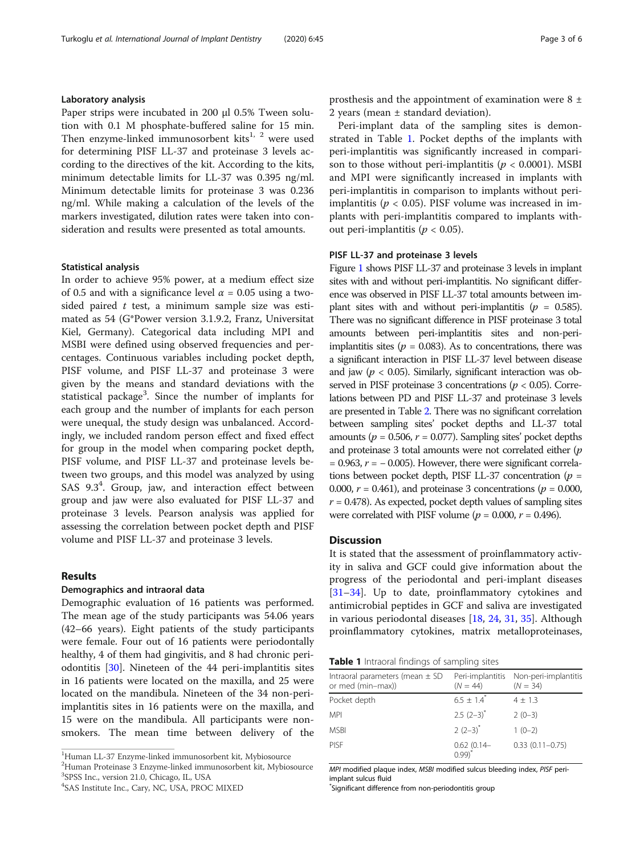# Laboratory analysis

Paper strips were incubated in 200 μl 0.5% Tween solution with 0.1 M phosphate-buffered saline for 15 min. Then enzyme-linked immunosorbent kits $^{1, 2}$  were used for determining PISF LL-37 and proteinase 3 levels according to the directives of the kit. According to the kits, minimum detectable limits for LL-37 was 0.395 ng/ml. Minimum detectable limits for proteinase 3 was 0.236 ng/ml. While making a calculation of the levels of the markers investigated, dilution rates were taken into consideration and results were presented as total amounts.

# Statistical analysis

In order to achieve 95% power, at a medium effect size of 0.5 and with a significance level  $\alpha$  = 0.05 using a twosided paired  $t$  test, a minimum sample size was estimated as 54 (G\*Power version 3.1.9.2, Franz, Universitat Kiel, Germany). Categorical data including MPI and MSBI were defined using observed frequencies and percentages. Continuous variables including pocket depth, PISF volume, and PISF LL-37 and proteinase 3 were given by the means and standard deviations with the statistical package<sup>3</sup>. Since the number of implants for each group and the number of implants for each person were unequal, the study design was unbalanced. Accordingly, we included random person effect and fixed effect for group in the model when comparing pocket depth, PISF volume, and PISF LL-37 and proteinase levels between two groups, and this model was analyzed by using SAS 9.3<sup>4</sup>. Group, jaw, and interaction effect between group and jaw were also evaluated for PISF LL-37 and proteinase 3 levels. Pearson analysis was applied for assessing the correlation between pocket depth and PISF volume and PISF LL-37 and proteinase 3 levels.

# Results

# Demographics and intraoral data

Demographic evaluation of 16 patients was performed. The mean age of the study participants was 54.06 years (42–66 years). Eight patients of the study participants were female. Four out of 16 patients were periodontally healthy, 4 of them had gingivitis, and 8 had chronic periodontitis [\[30](#page-5-0)]. Nineteen of the 44 peri-implantitis sites in 16 patients were located on the maxilla, and 25 were located on the mandibula. Nineteen of the 34 non-periimplantitis sites in 16 patients were on the maxilla, and 15 were on the mandibula. All participants were nonsmokers. The mean time between delivery of the

<sup>1</sup>Human LL-37 Enzyme-linked immunosorbent kit, Mybiosource

2 Human Proteinase 3 Enzyme-linked immunosorbent kit, Mybiosource 3 SPSS Inc., version 21.0, Chicago, IL, USA

4 SAS Institute Inc., Cary, NC, USA, PROC MIXED

prosthesis and the appointment of examination were 8 ± 2 years (mean ± standard deviation).

Peri-implant data of the sampling sites is demonstrated in Table 1. Pocket depths of the implants with peri-implantitis was significantly increased in comparison to those without peri-implantitis ( $p < 0.0001$ ). MSBI and MPI were significantly increased in implants with peri-implantitis in comparison to implants without periimplantitis ( $p < 0.05$ ). PISF volume was increased in implants with peri-implantitis compared to implants without peri-implantitis ( $p < 0.05$ ).

# PISF LL-37 and proteinase 3 levels

Figure [1](#page-3-0) shows PISF LL-37 and proteinase 3 levels in implant sites with and without peri-implantitis. No significant difference was observed in PISF LL-37 total amounts between implant sites with and without peri-implantitis ( $p = 0.585$ ). There was no significant difference in PISF proteinase 3 total amounts between peri-implantitis sites and non-periimplantitis sites ( $p = 0.083$ ). As to concentrations, there was a significant interaction in PISF LL-37 level between disease and jaw ( $p < 0.05$ ). Similarly, significant interaction was observed in PISF proteinase 3 concentrations ( $p < 0.05$ ). Correlations between PD and PISF LL-37 and proteinase 3 levels are presented in Table [2](#page-3-0). There was no significant correlation between sampling sites' pocket depths and LL-37 total amounts ( $p = 0.506$ ,  $r = 0.077$ ). Sampling sites' pocket depths and proteinase 3 total amounts were not correlated either  $(p)$  $= 0.963$ ,  $r = -0.005$ ). However, there were significant correlations between pocket depth, PISF LL-37 concentration ( $p =$ 0.000,  $r = 0.461$ ), and proteinase 3 concentrations ( $p = 0.000$ ,  $r = 0.478$ ). As expected, pocket depth values of sampling sites were correlated with PISF volume ( $p = 0.000$ ,  $r = 0.496$ ).

# **Discussion**

It is stated that the assessment of proinflammatory activity in saliva and GCF could give information about the progress of the periodontal and peri-implant diseases [[31](#page-5-0)–[34](#page-5-0)]. Up to date, proinflammatory cytokines and antimicrobial peptides in GCF and saliva are investigated in various periodontal diseases [[18,](#page-5-0) [24,](#page-5-0) [31,](#page-5-0) [35\]](#page-5-0). Although proinflammatory cytokines, matrix metalloproteinases,

| Intraoral parameters (mean ± SD<br>or med (min-max)) | Peri-implantitis<br>$(N = 44)$ | Non-peri-implantitis<br>$(N = 34)$ |  |
|------------------------------------------------------|--------------------------------|------------------------------------|--|
| Pocket depth                                         | $6.5 \pm 1.4$                  | $4 \pm 1.3$                        |  |
| MPI                                                  | $2.5(2-3)^{*}$                 | $2(0-3)$                           |  |
| <b>MSBI</b>                                          | $2(2-3)^{*}$                   | $1(0-2)$                           |  |
| <b>PISE</b>                                          | $0.62(0.14-0.99)^{*}$          | $0.33$ $(0.11 - 0.75)$             |  |

MPI modified plaque index, MSBI modified sulcus bleeding index, PISF periimplant sulcus fluid

\* Significant difference from non-periodontitis group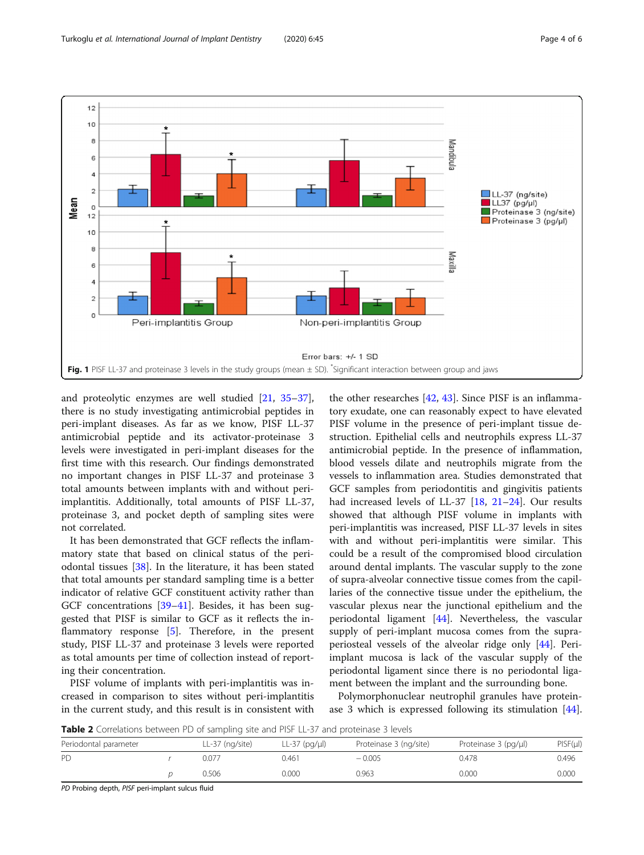<span id="page-3-0"></span>

and proteolytic enzymes are well studied [[21](#page-5-0), [35](#page-5-0)–[37](#page-5-0)], there is no study investigating antimicrobial peptides in peri-implant diseases. As far as we know, PISF LL-37 antimicrobial peptide and its activator-proteinase 3 levels were investigated in peri-implant diseases for the first time with this research. Our findings demonstrated no important changes in PISF LL-37 and proteinase 3 total amounts between implants with and without periimplantitis. Additionally, total amounts of PISF LL-37, proteinase 3, and pocket depth of sampling sites were not correlated.

It has been demonstrated that GCF reflects the inflammatory state that based on clinical status of the periodontal tissues [\[38](#page-5-0)]. In the literature, it has been stated that total amounts per standard sampling time is a better indicator of relative GCF constituent activity rather than GCF concentrations [[39](#page-5-0)–[41](#page-5-0)]. Besides, it has been suggested that PISF is similar to GCF as it reflects the in-flammatory response [\[5](#page-4-0)]. Therefore, in the present study, PISF LL-37 and proteinase 3 levels were reported as total amounts per time of collection instead of reporting their concentration.

PISF volume of implants with peri-implantitis was increased in comparison to sites without peri-implantitis in the current study, and this result is in consistent with

the other researches [[42,](#page-5-0) [43\]](#page-5-0). Since PISF is an inflammatory exudate, one can reasonably expect to have elevated PISF volume in the presence of peri-implant tissue destruction. Epithelial cells and neutrophils express LL-37 antimicrobial peptide. In the presence of inflammation, blood vessels dilate and neutrophils migrate from the vessels to inflammation area. Studies demonstrated that GCF samples from periodontitis and gingivitis patients had increased levels of LL-37 [[18](#page-5-0), [21](#page-5-0)–[24\]](#page-5-0). Our results showed that although PISF volume in implants with peri-implantitis was increased, PISF LL-37 levels in sites with and without peri-implantitis were similar. This could be a result of the compromised blood circulation around dental implants. The vascular supply to the zone of supra-alveolar connective tissue comes from the capillaries of the connective tissue under the epithelium, the vascular plexus near the junctional epithelium and the periodontal ligament [\[44](#page-5-0)]. Nevertheless, the vascular supply of peri-implant mucosa comes from the supraperiosteal vessels of the alveolar ridge only [[44\]](#page-5-0). Periimplant mucosa is lack of the vascular supply of the periodontal ligament since there is no periodontal ligament between the implant and the surrounding bone.

Polymorphonuclear neutrophil granules have proteinase 3 which is expressed following its stimulation [\[44](#page-5-0)].

Table 2 Correlations between PD of sampling site and PISF LL-37 and proteinase 3 levels

| Periodontal parameter | LL-37 (ng/site) | LL-37 (pg/µl) | Proteinase 3 (ng/site) | Proteinase 3 (pg/ul) | PISF(µI) |
|-----------------------|-----------------|---------------|------------------------|----------------------|----------|
| PD.                   | 0.077           | 0.461         | $-0.005$               | 0.478                | 0.496    |
|                       | 0.506           | 0.000         | 0.963                  | 0.000                | 0.000    |

PD Probing depth, PISF peri-implant sulcus fluid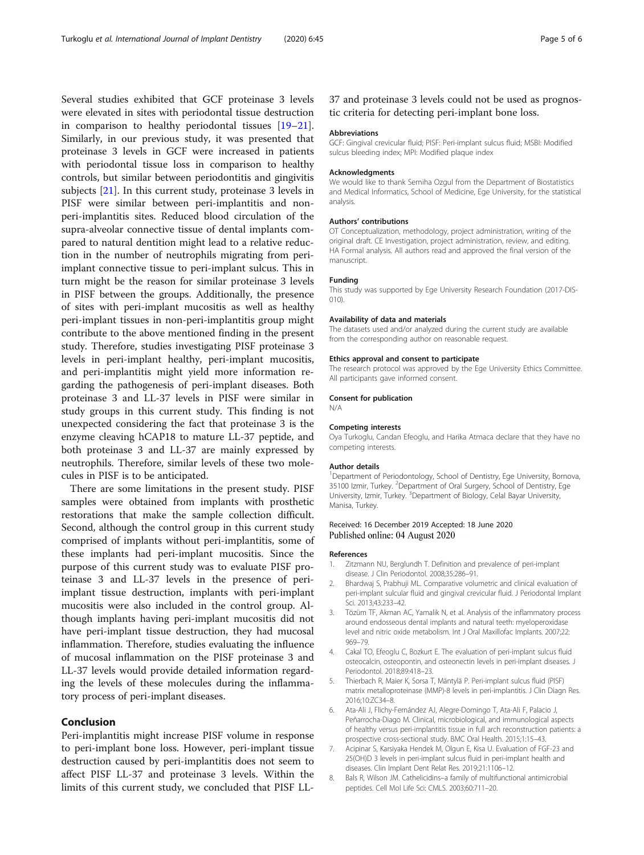<span id="page-4-0"></span>Several studies exhibited that GCF proteinase 3 levels were elevated in sites with periodontal tissue destruction in comparison to healthy periodontal tissues [[19](#page-5-0)–[21](#page-5-0)]. Similarly, in our previous study, it was presented that proteinase 3 levels in GCF were increased in patients with periodontal tissue loss in comparison to healthy controls, but similar between periodontitis and gingivitis subjects [\[21](#page-5-0)]. In this current study, proteinase 3 levels in PISF were similar between peri-implantitis and nonperi-implantitis sites. Reduced blood circulation of the supra-alveolar connective tissue of dental implants compared to natural dentition might lead to a relative reduction in the number of neutrophils migrating from periimplant connective tissue to peri-implant sulcus. This in turn might be the reason for similar proteinase 3 levels in PISF between the groups. Additionally, the presence of sites with peri-implant mucositis as well as healthy peri-implant tissues in non-peri-implantitis group might contribute to the above mentioned finding in the present study. Therefore, studies investigating PISF proteinase 3 levels in peri-implant healthy, peri-implant mucositis, and peri-implantitis might yield more information regarding the pathogenesis of peri-implant diseases. Both proteinase 3 and LL-37 levels in PISF were similar in study groups in this current study. This finding is not unexpected considering the fact that proteinase 3 is the enzyme cleaving hCAP18 to mature LL-37 peptide, and both proteinase 3 and LL-37 are mainly expressed by neutrophils. Therefore, similar levels of these two molecules in PISF is to be anticipated.

There are some limitations in the present study. PISF samples were obtained from implants with prosthetic restorations that make the sample collection difficult. Second, although the control group in this current study comprised of implants without peri-implantitis, some of these implants had peri-implant mucositis. Since the purpose of this current study was to evaluate PISF proteinase 3 and LL-37 levels in the presence of periimplant tissue destruction, implants with peri-implant mucositis were also included in the control group. Although implants having peri-implant mucositis did not have peri-implant tissue destruction, they had mucosal inflammation. Therefore, studies evaluating the influence of mucosal inflammation on the PISF proteinase 3 and LL-37 levels would provide detailed information regarding the levels of these molecules during the inflammatory process of peri-implant diseases.

# Conclusion

Peri-implantitis might increase PISF volume in response to peri-implant bone loss. However, peri-implant tissue destruction caused by peri-implantitis does not seem to affect PISF LL-37 and proteinase 3 levels. Within the limits of this current study, we concluded that PISF LL-

# 37 and proteinase 3 levels could not be used as prognostic criteria for detecting peri-implant bone loss.

### Abbreviations

GCF: Gingival crevicular fluid; PISF: Peri-implant sulcus fluid; MSBI: Modified sulcus bleeding index; MPI: Modified plaque index

#### Acknowledgments

We would like to thank Semiha Ozgul from the Department of Biostatistics and Medical Informatics, School of Medicine, Ege University, for the statistical analysis.

# Authors' contributions

OT Conceptualization, methodology, project administration, writing of the original draft. CE Investigation, project administration, review, and editing. HA Formal analysis. All authors read and approved the final version of the manuscript.

## Funding

This study was supported by Ege University Research Foundation (2017-DIS-010).

#### Availability of data and materials

The datasets used and/or analyzed during the current study are available from the corresponding author on reasonable request.

#### Ethics approval and consent to participate

The research protocol was approved by the Ege University Ethics Committee. All participants gave informed consent.

#### Consent for publication

N/A

# Competing interests

Oya Turkoglu, Candan Efeoglu, and Harika Atmaca declare that they have no competing interests.

#### Author details

<sup>1</sup>Department of Periodontology, School of Dentistry, Ege University, Bornova, 35100 Izmir, Turkey. <sup>2</sup>Department of Oral Surgery, School of Dentistry, Ege University, Izmir, Turkey. <sup>3</sup>Department of Biology, Celal Bayar University, Manisa, Turkey.

# Received: 16 December 2019 Accepted: 18 June 2020 Published online: 04 August 2020

#### References

- 1. Zitzmann NU, Berglundh T. Definition and prevalence of peri-implant disease. J Clin Periodontol. 2008;35:286–91.
- 2. Bhardwaj S, Prabhuji ML. Comparative volumetric and clinical evaluation of peri-implant sulcular fluid and gingival crevicular fluid. J Periodontal Implant Sci. 2013;43:233–42.
- 3. Tözüm TF, Akman AC, Yamalik N, et al. Analysis of the inflammatory process around endosseous dental implants and natural teeth: myeloperoxidase level and nitric oxide metabolism. Int J Oral Maxillofac Implants. 2007;22: 969–79.
- 4. Cakal TO, Efeoglu C, Bozkurt E. The evaluation of peri-implant sulcus fluid osteocalcin, osteopontin, and osteonectin levels in peri-implant diseases. J Periodontol. 2018;89:418–23.
- 5. Thierbach R, Maier K, Sorsa T, Mäntylä P. Peri-implant sulcus fluid (PISF) matrix metalloproteinase (MMP)-8 levels in peri-implantitis. J Clin Diagn Res. 2016;10:ZC34–8.
- 6. Ata-Ali J, Flichy-Fernández AJ, Alegre-Domingo T, Ata-Ali F, Palacio J, Peñarrocha-Diago M. Clinical, microbiological, and immunological aspects of healthy versus peri-implantitis tissue in full arch reconstruction patients: a prospective cross-sectional study. BMC Oral Health. 2015;1:15–43.
- 7. Acipinar S, Karsiyaka Hendek M, Olgun E, Kisa U. Evaluation of FGF-23 and 25(OH)D 3 levels in peri-implant sulcus fluid in peri-implant health and diseases. Clin Implant Dent Relat Res. 2019;21:1106–12.
- 8. Bals R, Wilson JM. Cathelicidins–a family of multifunctional antimicrobial peptides. Cell Mol Life Sci: CMLS. 2003;60:711–20.